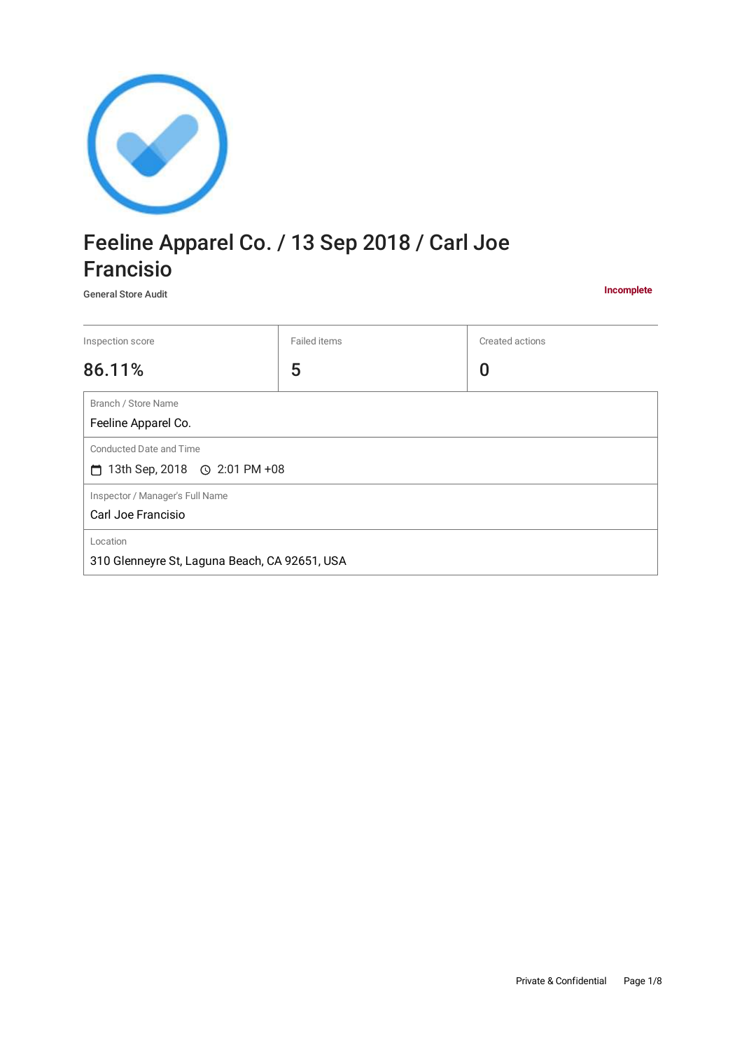

# Feeline Apparel Co. / 13 Sep 2018 / Carl Joe Francisio

General Store Audit

**Incomplete**

| Inspection score                                                     | Failed items | Created actions |
|----------------------------------------------------------------------|--------------|-----------------|
| 86.11%                                                               | 5            | 0               |
| Branch / Store Name<br>Feeline Apparel Co.                           |              |                 |
| Conducted Date and Time<br>$\Box$ 13th Sep, 2018 $\odot$ 2:01 PM +08 |              |                 |
| Inspector / Manager's Full Name<br>Carl Joe Francisio                |              |                 |
| Location<br>310 Glenneyre St, Laguna Beach, CA 92651, USA            |              |                 |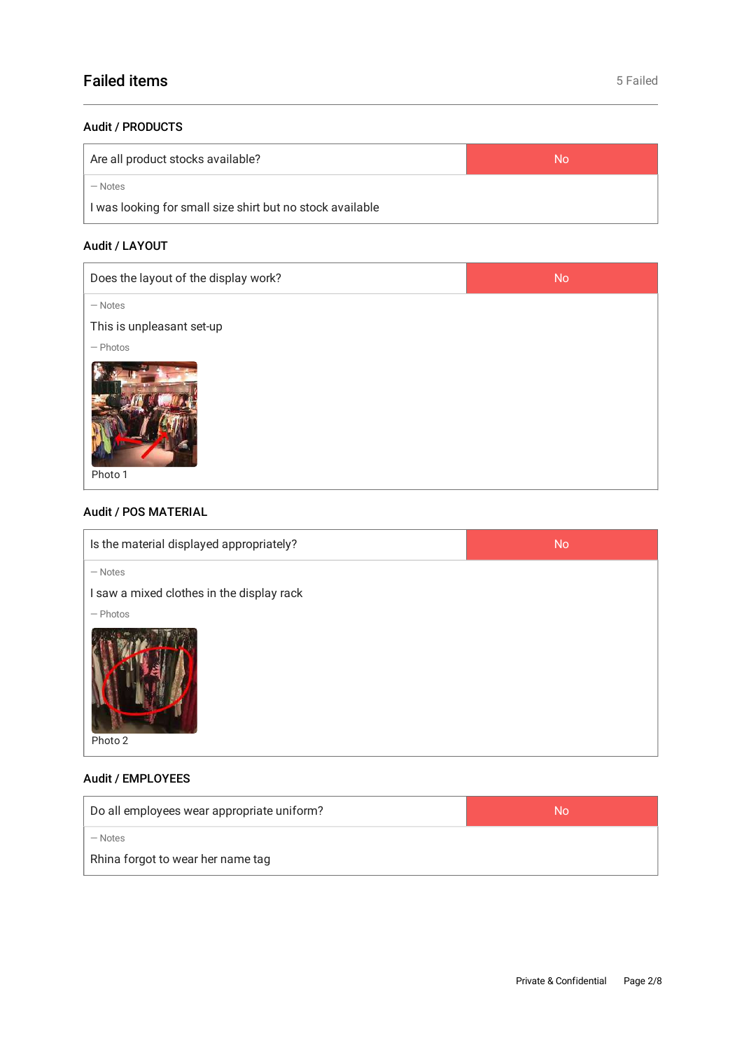# Failed items **Failed** items **Failed** items **Failed Failed Example 20**

#### Audit / PRODUCTS

| Are all product stocks available?                         | No |
|-----------------------------------------------------------|----|
| — Notes                                                   |    |
| I was looking for small size shirt but no stock available |    |

# Audit / LAYOUT

| Does the layout of the display work? | <b>No</b> |
|--------------------------------------|-----------|
| $-$ Notes                            |           |
| This is unpleasant set-up            |           |
| $-$ Photos                           |           |
| Photo 1                              |           |

## Audit / POS MATERIAL

| Is the material displayed appropriately?  | <b>No</b> |
|-------------------------------------------|-----------|
| $-$ Notes                                 |           |
| I saw a mixed clothes in the display rack |           |
| $-$ Photos                                |           |
| Photo 2                                   |           |

# Audit / EMPLOYEES

| Do all employees wear appropriate uniform? | No |
|--------------------------------------------|----|
| $-$ Notes                                  |    |
| Rhina forgot to wear her name tag          |    |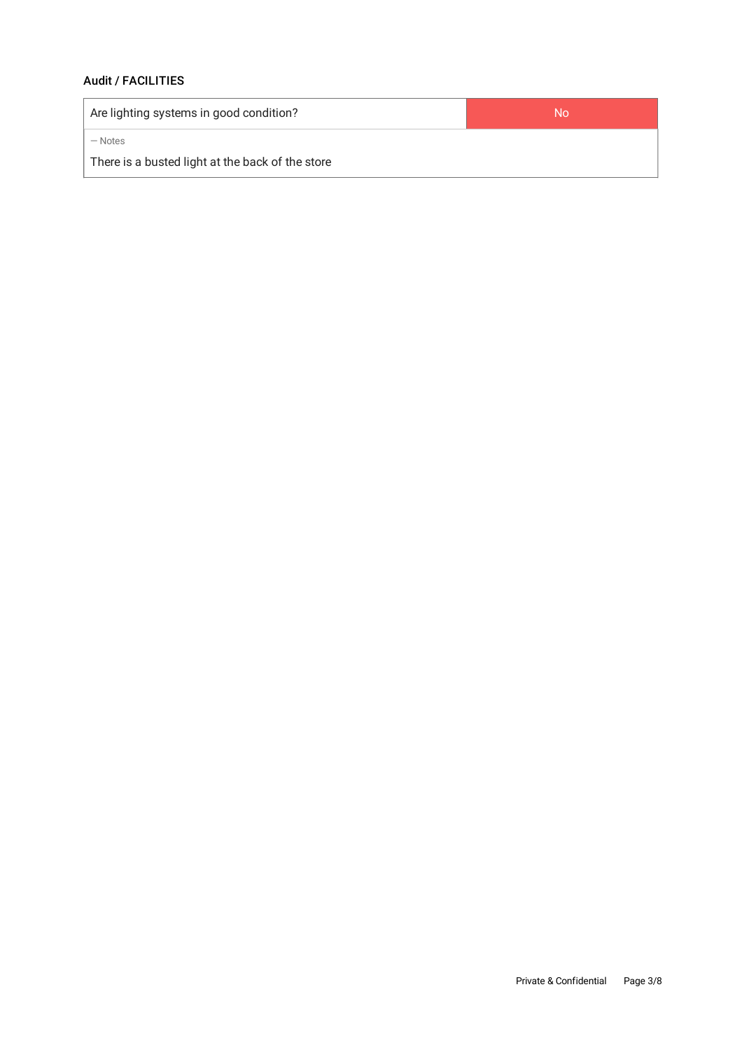# Audit / FACILITIES

| Are lighting systems in good condition?          | No |
|--------------------------------------------------|----|
| — Notes                                          |    |
| There is a busted light at the back of the store |    |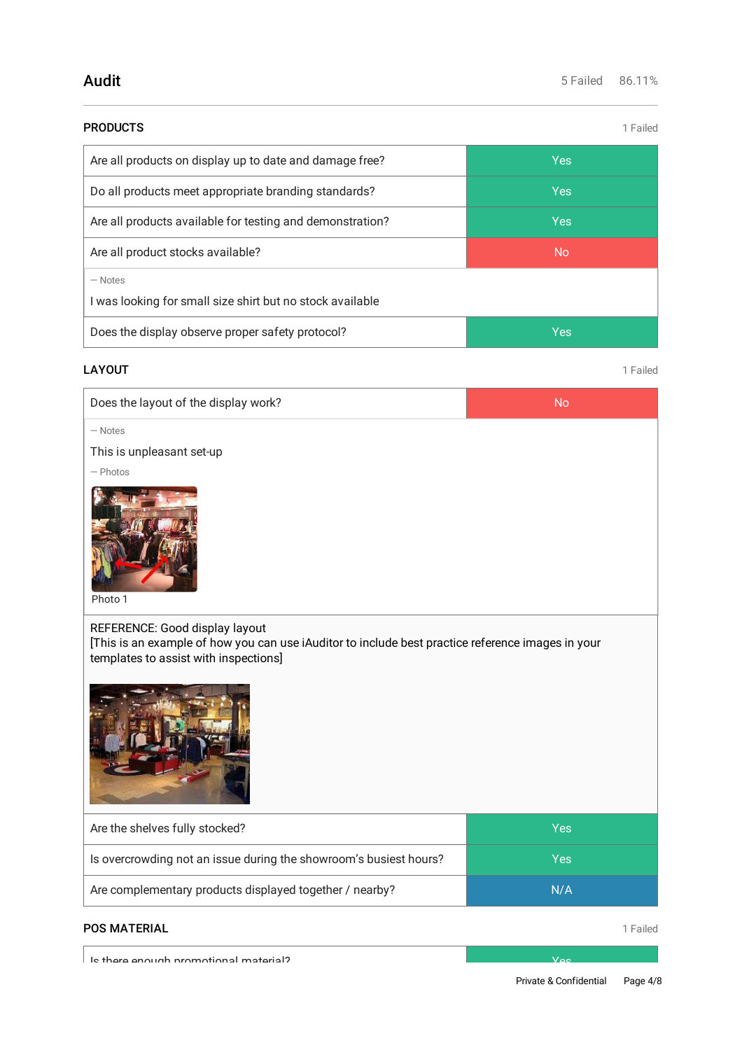| <b>PRODUCTS</b>                                                        | 1 Failed   |
|------------------------------------------------------------------------|------------|
| Are all products on display up to date and damage free?                | <b>Yes</b> |
| Do all products meet appropriate branding standards?                   | <b>Yes</b> |
| Are all products available for testing and demonstration?              | <b>Yes</b> |
| Are all product stocks available?                                      | <b>No</b>  |
| $-$ Notes<br>I was looking for small size shirt but no stock available |            |
| Does the display observe proper safety protocol?                       | <b>Yes</b> |
|                                                                        |            |

# **LAYOUT** 1 Failed

| Does the layout of the display work? |  |
|--------------------------------------|--|
|--------------------------------------|--|

— Notes

This is unpleasant set-up

— Photos



Photo 1

REFERENCE: Good display layout

[This is an example of how you can use iAuditor to include best practice reference images in your templates to assist with inspections]



| Are the shelves fully stocked?                                    | Yes |
|-------------------------------------------------------------------|-----|
| Is overcrowding not an issue during the showroom's busiest hours? | Yes |
| Are complementary products displayed together / nearby?           | N/A |

# **POS MATERIAL** 1 Failed

Is there enough promotional material? Yes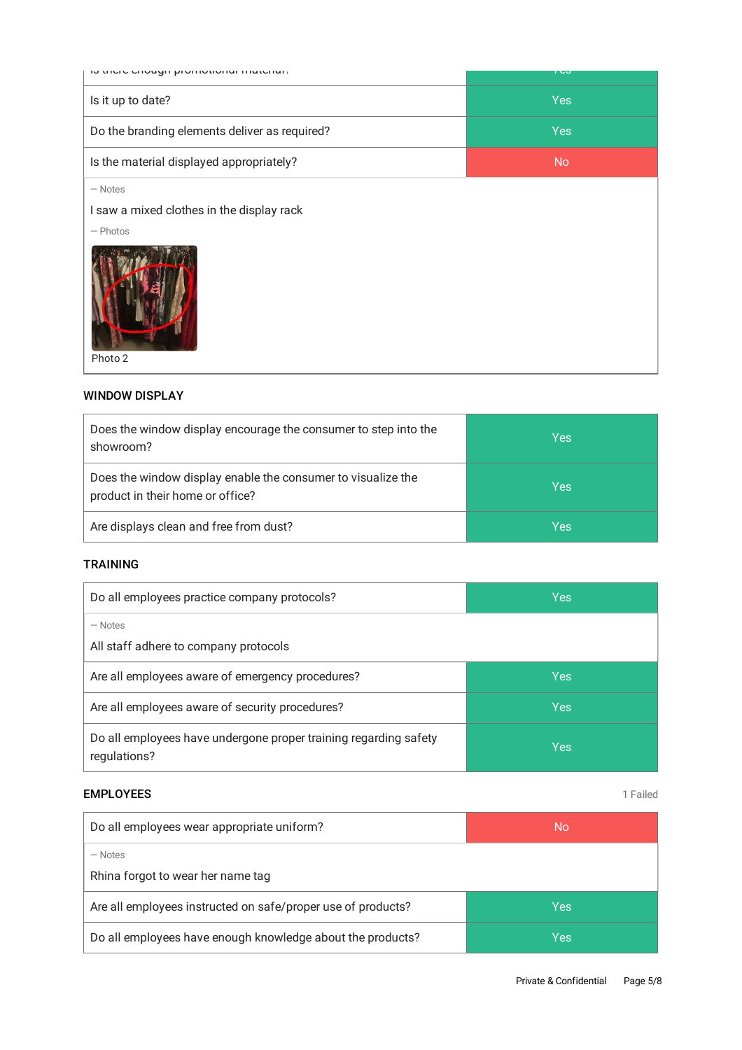| to thore enough promotional material:                                           | r co       |
|---------------------------------------------------------------------------------|------------|
| Is it up to date?                                                               | <b>Yes</b> |
| Do the branding elements deliver as required?                                   | <b>Yes</b> |
| Is the material displayed appropriately?                                        | <b>No</b>  |
| $-$ Notes<br>I saw a mixed clothes in the display rack<br>$-$ Photos<br>Photo 2 |            |

#### WINDOW DISPLAY

| Does the window display encourage the consumer to step into the<br>showroom?                     | Yes |
|--------------------------------------------------------------------------------------------------|-----|
| Does the window display enable the consumer to visualize the<br>product in their home or office? | Yes |
| Are displays clean and free from dust?                                                           | Yes |

#### TRAINING

| Do all employees practice company protocols?                                     | Yes |
|----------------------------------------------------------------------------------|-----|
| $-$ Notes<br>All staff adhere to company protocols                               |     |
| Are all employees aware of emergency procedures?                                 | Yes |
| Are all employees aware of security procedures?                                  | Yes |
| Do all employees have undergone proper training regarding safety<br>regulations? | Yes |

#### **EMPLOYEES** 1 Failed

| Do all employees wear appropriate uniform?                   | No. |  |
|--------------------------------------------------------------|-----|--|
| - Notes<br>Rhina forgot to wear her name tag                 |     |  |
| Are all employees instructed on safe/proper use of products? | Yes |  |
| Do all employees have enough knowledge about the products?   | Yes |  |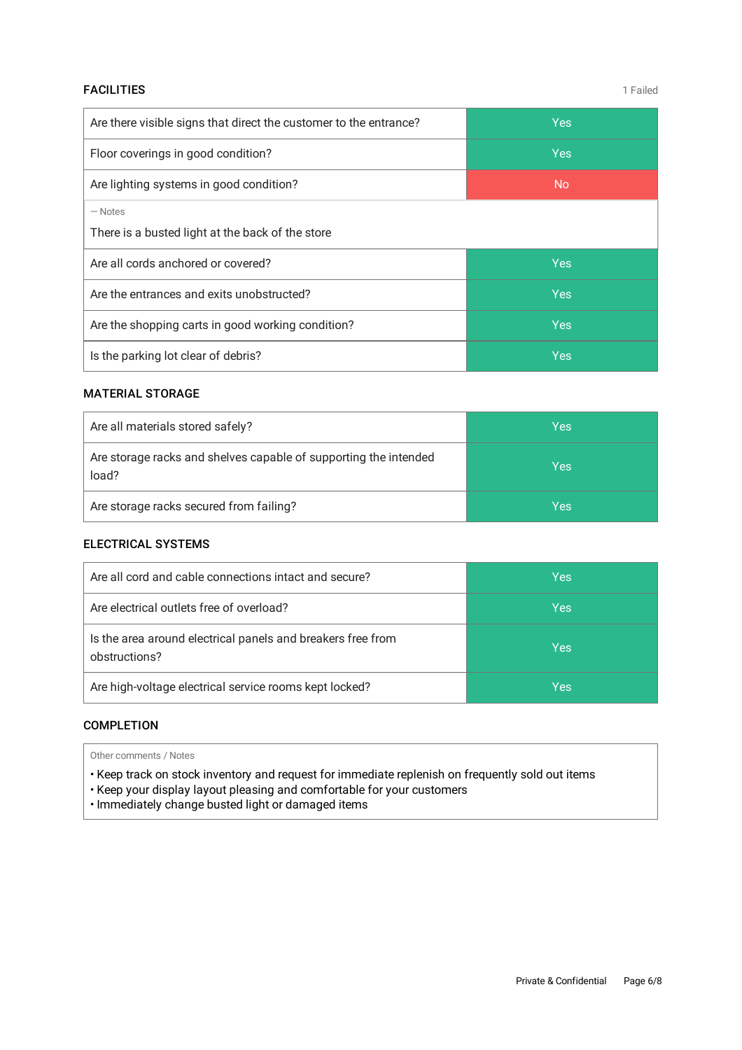#### **FACILITIES** 1 Failed

| Are there visible signs that direct the customer to the entrance? | <b>Yes</b> |
|-------------------------------------------------------------------|------------|
| Floor coverings in good condition?                                | <b>Yes</b> |
| Are lighting systems in good condition?                           | <b>No</b>  |
| $-$ Notes<br>There is a busted light at the back of the store     |            |
| Are all cords anchored or covered?                                | <b>Yes</b> |
| Are the entrances and exits unobstructed?                         | <b>Yes</b> |
| Are the shopping carts in good working condition?                 | <b>Yes</b> |
| Is the parking lot clear of debris?                               | Yes        |

# MATERIAL STORAGE

| Are all materials stored safely?                                          | Yes |
|---------------------------------------------------------------------------|-----|
| Are storage racks and shelves capable of supporting the intended<br>load? | Yes |
| Are storage racks secured from failing?                                   | Yes |

### ELECTRICAL SYSTEMS

| Are all cord and cable connections intact and secure?                        | Yes |
|------------------------------------------------------------------------------|-----|
| Are electrical outlets free of overload?                                     | Yes |
| Is the area around electrical panels and breakers free from<br>obstructions? | Yes |
| Are high-voltage electrical service rooms kept locked?                       | Yes |

#### COMPLETION

Other comments / Notes

• Keep track on stock inventory and request for immediate replenish on frequently sold out items

• Keep your display layout pleasing and comfortable for your customers

• Immediately change busted light or damaged items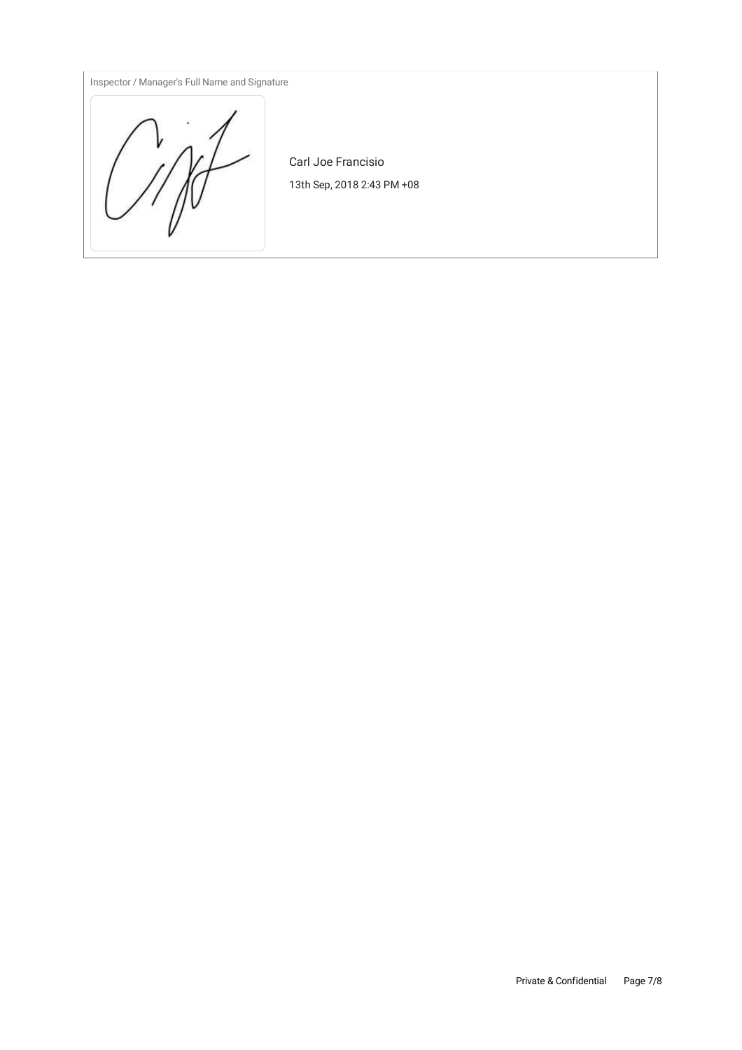Inspector / Manager's Full Name and Signature



Carl Joe Francisio 13th Sep, 2018 2:43 PM +08